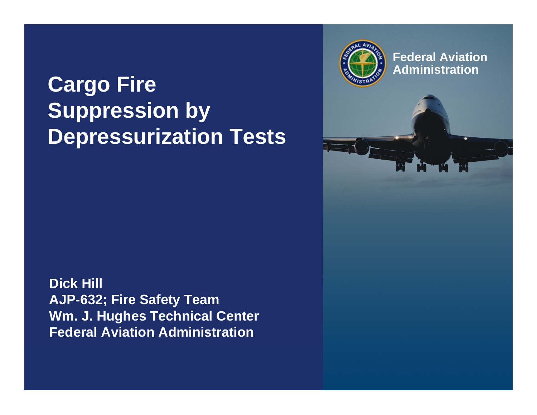**Dick HillAJP-632; Fire Safety Team Wm. J. Hughes Technical Center Federal Aviation Administration**



**Federal Aviation Administration**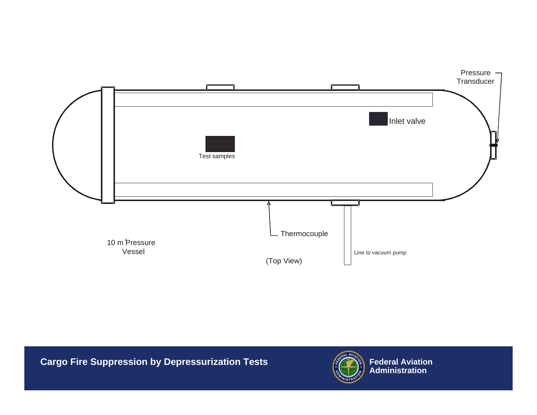

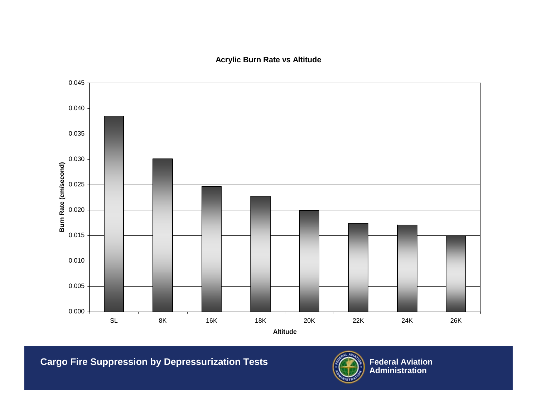## **Acrylic Burn Rate vs Altitude**



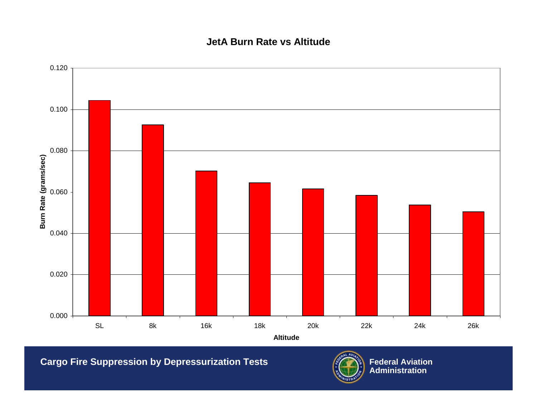## **JetA Burn Rate vs Altitude**



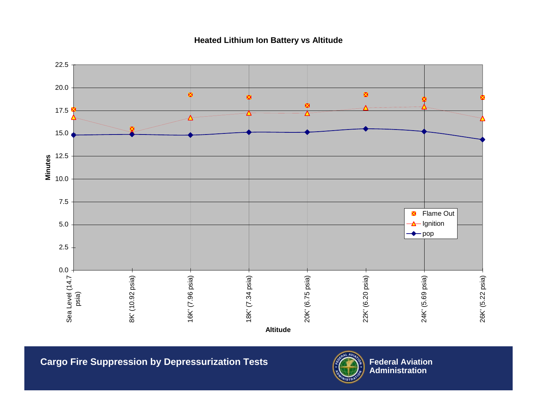**Heated Lithium Ion Battery vs Altitude**



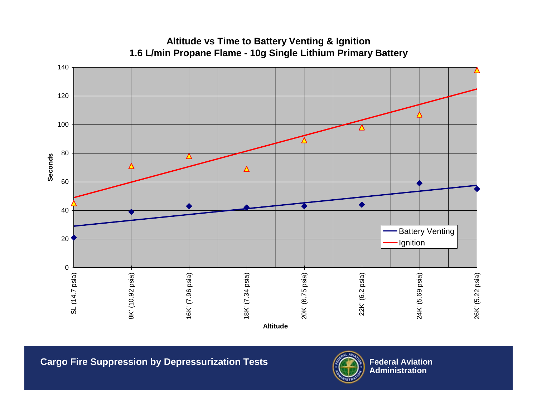

## **Altitude vs Time to Battery Venting & Ignition 1.6 L/min Propane Flame - 10g Single Lithium Primary Battery**

![](_page_5_Picture_3.jpeg)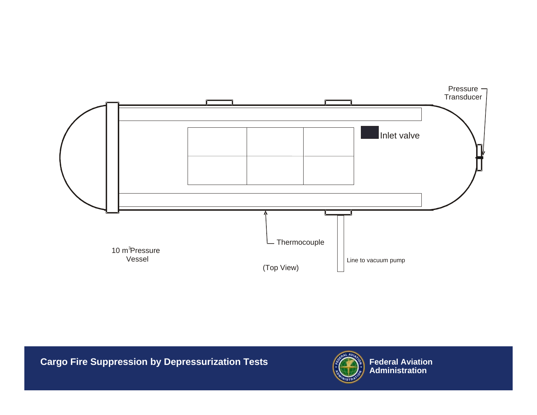![](_page_6_Figure_0.jpeg)

![](_page_6_Picture_2.jpeg)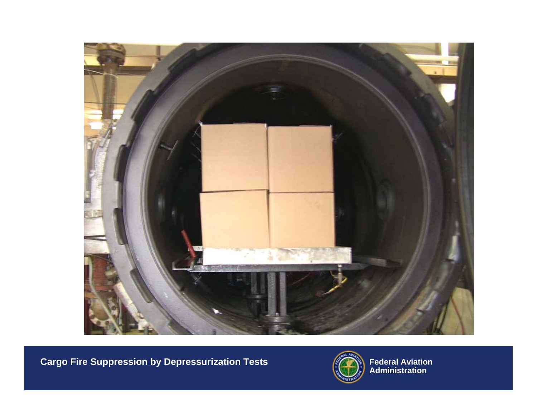![](_page_7_Picture_0.jpeg)

![](_page_7_Picture_2.jpeg)

**Federal Aviation Administration**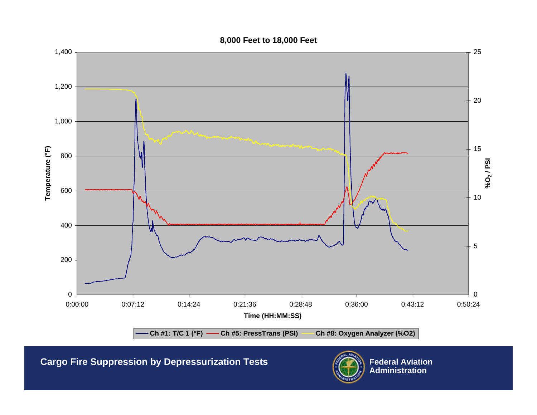**8,000 Feet to 18,000 Feet**

![](_page_8_Figure_1.jpeg)

![](_page_8_Picture_3.jpeg)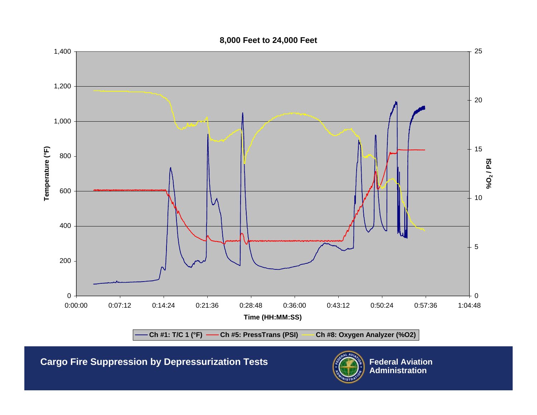**8,000 Feet to 24,000 Feet**

![](_page_9_Figure_1.jpeg)

![](_page_9_Picture_3.jpeg)